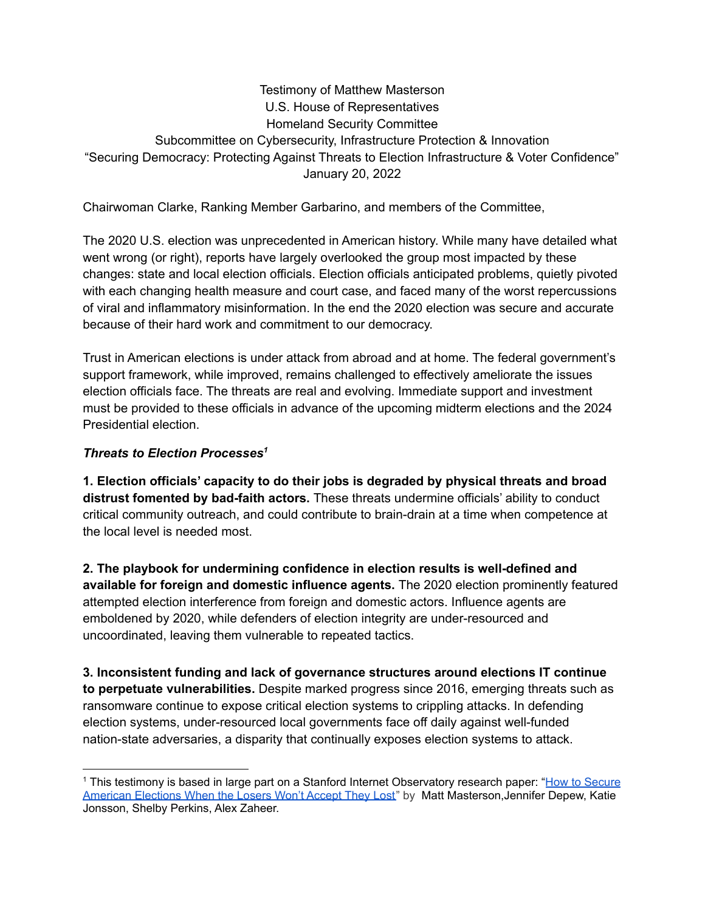#### Testimony of Matthew Masterson U.S. House of Representatives Homeland Security Committee Subcommittee on Cybersecurity, Infrastructure Protection & Innovation "Securing Democracy: Protecting Against Threats to Election Infrastructure & Voter Confidence" January 20, 2022

Chairwoman Clarke, Ranking Member Garbarino, and members of the Committee,

The 2020 U.S. election was unprecedented in American history. While many have detailed what went wrong (or right), reports have largely overlooked the group most impacted by these changes: state and local election officials. Election officials anticipated problems, quietly pivoted with each changing health measure and court case, and faced many of the worst repercussions of viral and inflammatory misinformation. In the end the 2020 election was secure and accurate because of their hard work and commitment to our democracy.

Trust in American elections is under attack from abroad and at home. The federal government's support framework, while improved, remains challenged to effectively ameliorate the issues election officials face. The threats are real and evolving. Immediate support and investment must be provided to these officials in advance of the upcoming midterm elections and the 2024 Presidential election.

#### *Threats to Election Processes 1*

**1. Election officials' capacity to do their jobs is degraded by physical threats and broad distrust fomented by bad-faith actors.** These threats undermine officials' ability to conduct critical community outreach, and could contribute to brain-drain at a time when competence at the local level is needed most.

**2. The playbook for undermining confidence in election results is well-defined and available for foreign and domestic influence agents.** The 2020 election prominently featured attempted election interference from foreign and domestic actors. Influence agents are emboldened by 2020, while defenders of election integrity are under-resourced and uncoordinated, leaving them vulnerable to repeated tactics.

**3. Inconsistent funding and lack of governance structures around elections IT continue to perpetuate vulnerabilities.** Despite marked progress since 2016, emerging threats such as ransomware continue to expose critical election systems to crippling attacks. In defending election systems, under-resourced local governments face off daily against well-funded nation-state adversaries, a disparity that continually exposes election systems to attack.

<sup>1</sup> This testimony is based in large part on a Stanford Internet Observatory research paper: "How to [Secure](https://cyber.fsi.stanford.edu/publication/zero-trust) [American](https://cyber.fsi.stanford.edu/publication/zero-trust) Elections When the Losers Won't Accept They Lost" by Matt Masterson, Jennifer Depew, Katie Jonsson, Shelby Perkins, Alex Zaheer.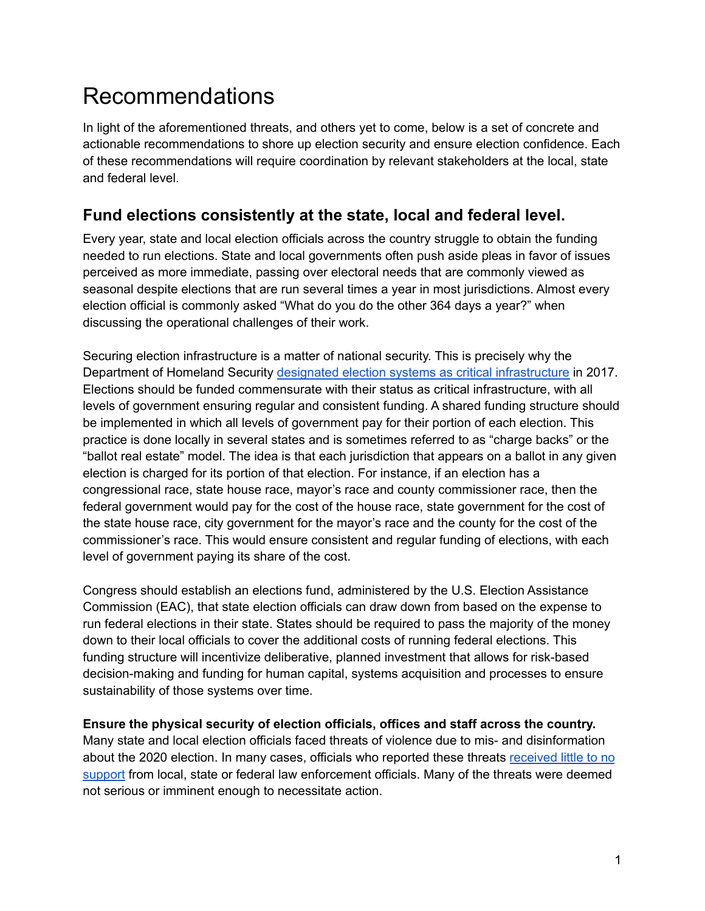# Recommendations

In light of the aforementioned threats, and others yet to come, below is a set of concrete and actionable recommendations to shore up election security and ensure election confidence. Each of these recommendations will require coordination by relevant stakeholders at the local, state and federal level.

### **Fund elections consistently at the state, local and federal level.**

Every year, state and local election officials across the country struggle to obtain the funding needed to run elections. State and local governments often push aside pleas in favor of issues perceived as more immediate, passing over electoral needs that are commonly viewed as seasonal despite elections that are run several times a year in most jurisdictions. Almost every election official is commonly asked "What do you do the other 364 days a year?" when discussing the operational challenges of their work.

Securing election infrastructure is a matter of national security. This is precisely why the Department of Homeland Security designated election systems as critical [infrastructure](https://www.dhs.gov/news/2017/01/06/statement-secretary-johnson-designation-election-infrastructure-critical) in 2017. Elections should be funded commensurate with their status as critical infrastructure, with all levels of government ensuring regular and consistent funding. A shared funding structure should be implemented in which all levels of government pay for their portion of each election. This practice is done locally in several states and is sometimes referred to as "charge backs" or the "ballot real estate" model. The idea is that each jurisdiction that appears on a ballot in any given election is charged for its portion of that election. For instance, if an election has a congressional race, state house race, mayor's race and county commissioner race, then the federal government would pay for the cost of the house race, state government for the cost of the state house race, city government for the mayor's race and the county for the cost of the commissioner's race. This would ensure consistent and regular funding of elections, with each level of government paying its share of the cost.

Congress should establish an elections fund, administered by the U.S. Election Assistance Commission (EAC), that state election officials can draw down from based on the expense to run federal elections in their state. States should be required to pass the majority of the money down to their local officials to cover the additional costs of running federal elections. This funding structure will incentivize deliberative, planned investment that allows for risk-based decision-making and funding for human capital, systems acquisition and processes to ensure sustainability of those systems over time.

#### **Ensure the physical security of election officials, offices and staff across the country.**

Many state and local election officials faced threats of violence due to mis- and disinformation about the 2020 election. In many cases, officials who reported these threats [received](https://www.reuters.com/investigates/special-report/usa-election-threats-law-enforcement/) little to no [support](https://www.reuters.com/investigates/special-report/usa-election-threats-law-enforcement/) from local, state or federal law enforcement officials. Many of the threats were deemed not serious or imminent enough to necessitate action.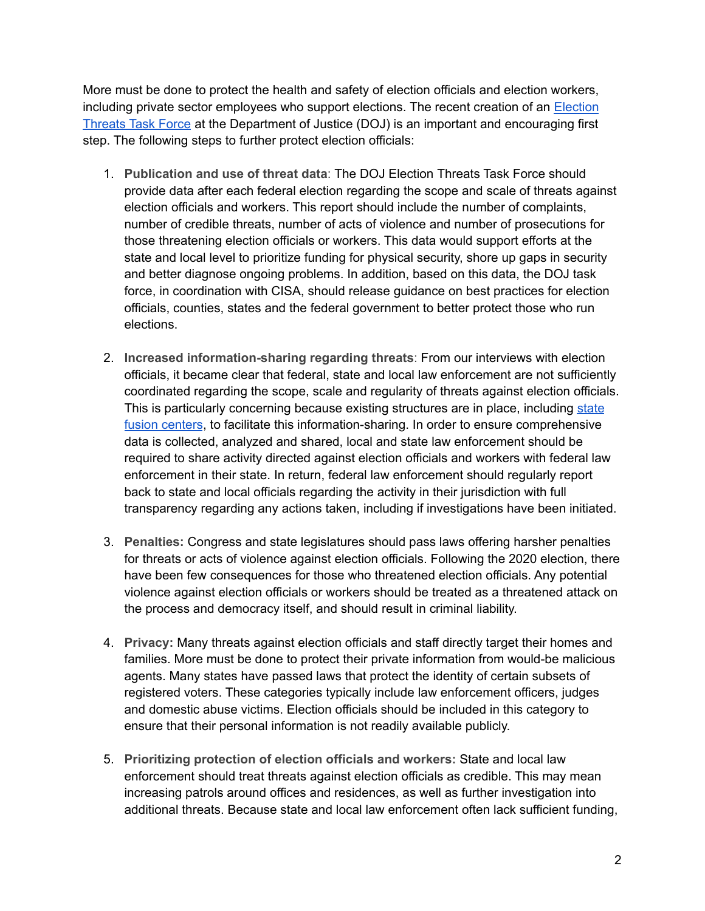More must be done to protect the health and safety of election officials and election workers, including private sector employees who support elections. The recent creation of an [Election](https://www.justice.gov/opa/blog/justice-department-launches-task-force-combat-threats-against-election-workers-0) [Threats](https://www.justice.gov/opa/blog/justice-department-launches-task-force-combat-threats-against-election-workers-0) Task Force at the Department of Justice (DOJ) is an important and encouraging first step. The following steps to further protect election officials:

- 1. **Publication and use of threat data**: The DOJ Election Threats Task Force should provide data after each federal election regarding the scope and scale of threats against election officials and workers. This report should include the number of complaints, number of credible threats, number of acts of violence and number of prosecutions for those threatening election officials or workers. This data would support efforts at the state and local level to prioritize funding for physical security, shore up gaps in security and better diagnose ongoing problems. In addition, based on this data, the DOJ task force, in coordination with CISA, should release guidance on best practices for election officials, counties, states and the federal government to better protect those who run elections.
- 2. **Increased information-sharing regarding threats**: From our interviews with election officials, it became clear that federal, state and local law enforcement are not sufficiently coordinated regarding the scope, scale and regularity of threats against election officials. This is particularly concerning because existing structures are in place, including [state](https://www.dhs.gov/fusion-centers) fusion [centers](https://www.dhs.gov/fusion-centers), to facilitate this information-sharing. In order to ensure comprehensive data is collected, analyzed and shared, local and state law enforcement should be required to share activity directed against election officials and workers with federal law enforcement in their state. In return, federal law enforcement should regularly report back to state and local officials regarding the activity in their jurisdiction with full transparency regarding any actions taken, including if investigations have been initiated.
- 3. **Penalties:** Congress and state legislatures should pass laws offering harsher penalties for threats or acts of violence against election officials. Following the 2020 election, there have been few consequences for those who threatened election officials. Any potential violence against election officials or workers should be treated as a threatened attack on the process and democracy itself, and should result in criminal liability.
- 4. **Privacy:** Many threats against election officials and staff directly target their homes and families. More must be done to protect their private information from would-be malicious agents. Many states have passed laws that protect the identity of certain subsets of registered voters. These categories typically include law enforcement officers, judges and domestic abuse victims. Election officials should be included in this category to ensure that their personal information is not readily available publicly.
- 5. **Prioritizing protection of election officials and workers:** State and local law enforcement should treat threats against election officials as credible. This may mean increasing patrols around offices and residences, as well as further investigation into additional threats. Because state and local law enforcement often lack sufficient funding,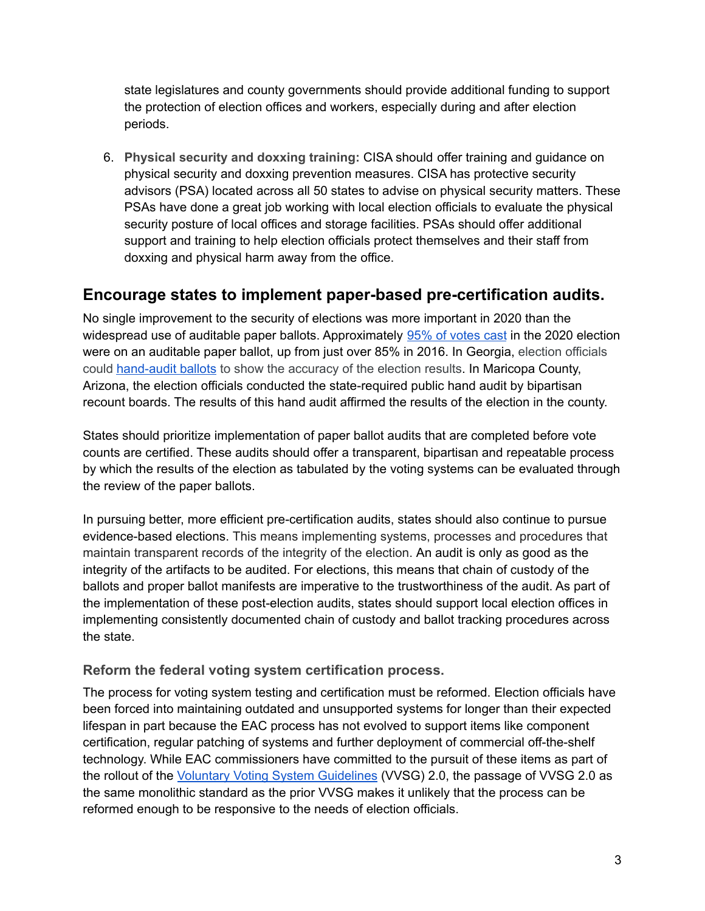state legislatures and county governments should provide additional funding to support the protection of election offices and workers, especially during and after election periods.

6. **Physical security and doxxing training:** CISA should offer training and guidance on physical security and doxxing prevention measures. CISA has protective security advisors (PSA) located across all 50 states to advise on physical security matters. These PSAs have done a great job working with local election officials to evaluate the physical security posture of local offices and storage facilities. PSAs should offer additional support and training to help election officials protect themselves and their staff from doxxing and physical harm away from the office.

### **Encourage states to implement paper-based pre-certification audits.**

No single improvement to the security of elections was more important in 2020 than the widespread use of auditable paper ballots. Approximately 95% of [votes](https://www.brennancenter.org/our-work/research-reports/our-election-system-resilient-still-has-room-improvement) cast in the 2020 election were on an auditable paper ballot, up from just over 85% in 2016. In Georgia, election officials could [hand-audit](https://sos.ga.gov/index.php/elections/historic_first_statewide_audit_of_paper_ballots_upholds_result_of_presidential_race) ballots to show the accuracy of the election results. In Maricopa County, Arizona, the election officials conducted the state-required public hand audit by bipartisan recount boards. The results of this hand audit affirmed the results of the election in the county.

States should prioritize implementation of paper ballot audits that are completed before vote counts are certified. These audits should offer a transparent, bipartisan and repeatable process by which the results of the election as tabulated by the voting systems can be evaluated through the review of the paper ballots.

In pursuing better, more efficient pre-certification audits, states should also continue to pursue evidence-based elections. This means implementing systems, processes and procedures that maintain transparent records of the integrity of the election. An audit is only as good as the integrity of the artifacts to be audited. For elections, this means that chain of custody of the ballots and proper ballot manifests are imperative to the trustworthiness of the audit. As part of the implementation of these post-election audits, states should support local election offices in implementing consistently documented chain of custody and ballot tracking procedures across the state.

#### **Reform the federal voting system certification process.**

The process for voting system testing and certification must be reformed. Election officials have been forced into maintaining outdated and unsupported systems for longer than their expected lifespan in part because the EAC process has not evolved to support items like component certification, regular patching of systems and further deployment of commercial off-the-shelf technology. While EAC commissioners have committed to the pursuit of these items as part of the rollout of the Voluntary Voting System [Guidelines](https://www.eac.gov/voting-equipment/voluntary-voting-system-guidelines) (VVSG) 2.0, the passage of VVSG 2.0 as the same monolithic standard as the prior VVSG makes it unlikely that the process can be reformed enough to be responsive to the needs of election officials.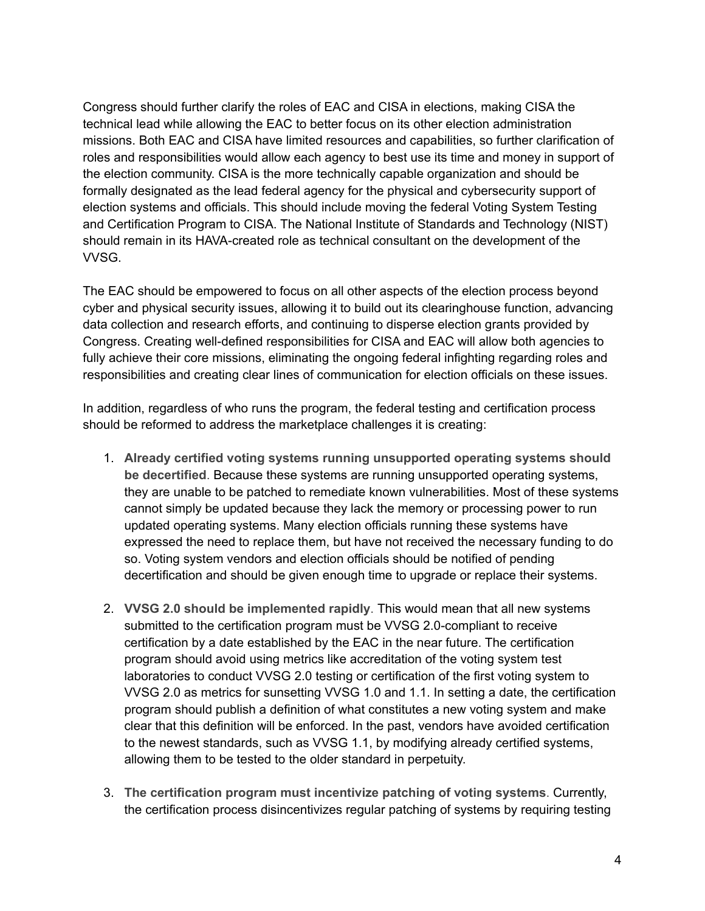Congress should further clarify the roles of EAC and CISA in elections, making CISA the technical lead while allowing the EAC to better focus on its other election administration missions. Both EAC and CISA have limited resources and capabilities, so further clarification of roles and responsibilities would allow each agency to best use its time and money in support of the election community. CISA is the more technically capable organization and should be formally designated as the lead federal agency for the physical and cybersecurity support of election systems and officials. This should include moving the federal Voting System Testing and Certification Program to CISA. The National Institute of Standards and Technology (NIST) should remain in its HAVA-created role as technical consultant on the development of the VVSG.

The EAC should be empowered to focus on all other aspects of the election process beyond cyber and physical security issues, allowing it to build out its clearinghouse function, advancing data collection and research efforts, and continuing to disperse election grants provided by Congress. Creating well-defined responsibilities for CISA and EAC will allow both agencies to fully achieve their core missions, eliminating the ongoing federal infighting regarding roles and responsibilities and creating clear lines of communication for election officials on these issues.

In addition, regardless of who runs the program, the federal testing and certification process should be reformed to address the marketplace challenges it is creating:

- 1. **Already certified voting systems running unsupported operating systems should be decertified**. Because these systems are running unsupported operating systems, they are unable to be patched to remediate known vulnerabilities. Most of these systems cannot simply be updated because they lack the memory or processing power to run updated operating systems. Many election officials running these systems have expressed the need to replace them, but have not received the necessary funding to do so. Voting system vendors and election officials should be notified of pending decertification and should be given enough time to upgrade or replace their systems.
- 2. **VVSG 2.0 should be implemented rapidly**. This would mean that all new systems submitted to the certification program must be VVSG 2.0-compliant to receive certification by a date established by the EAC in the near future. The certification program should avoid using metrics like accreditation of the voting system test laboratories to conduct VVSG 2.0 testing or certification of the first voting system to VVSG 2.0 as metrics for sunsetting VVSG 1.0 and 1.1. In setting a date, the certification program should publish a definition of what constitutes a new voting system and make clear that this definition will be enforced. In the past, vendors have avoided certification to the newest standards, such as VVSG 1.1, by modifying already certified systems, allowing them to be tested to the older standard in perpetuity.
- 3. **The certification program must incentivize patching of voting systems**. Currently, the certification process disincentivizes regular patching of systems by requiring testing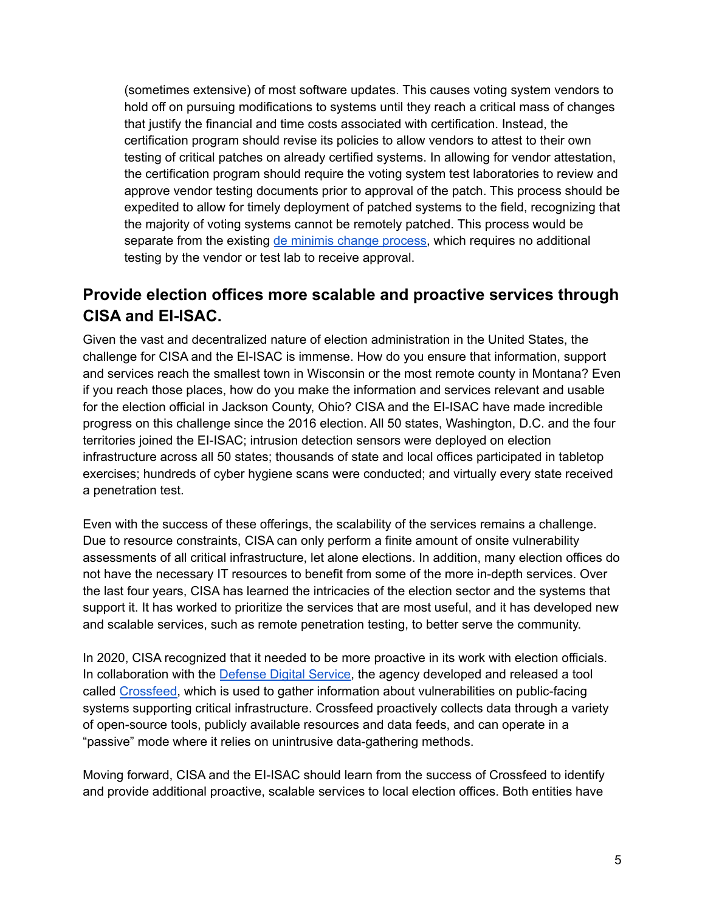(sometimes extensive) of most software updates. This causes voting system vendors to hold off on pursuing modifications to systems until they reach a critical mass of changes that justify the financial and time costs associated with certification. Instead, the certification program should revise its policies to allow vendors to attest to their own testing of critical patches on already certified systems. In allowing for vendor attestation, the certification program should require the voting system test laboratories to review and approve vendor testing documents prior to approval of the patch. This process should be expedited to allow for timely deployment of patched systems to the field, recognizing that the majority of voting systems cannot be remotely patched. This process would be separate from the existing de minimis change [process,](https://www.eac.gov/sites/default/files/voting_equipment/NOC19.01_SoftwareDeMinimisChanges_11-15-2019.pdf) which requires no additional testing by the vendor or test lab to receive approval.

# **Provide election offices more scalable and proactive services through CISA and EI-ISAC.**

Given the vast and decentralized nature of election administration in the United States, the challenge for CISA and the EI-ISAC is immense. How do you ensure that information, support and services reach the smallest town in Wisconsin or the most remote county in Montana? Even if you reach those places, how do you make the information and services relevant and usable for the election official in Jackson County, Ohio? CISA and the EI-ISAC have made incredible progress on this challenge since the 2016 election. All 50 states, Washington, D.C. and the four territories joined the EI-ISAC; intrusion detection sensors were deployed on election infrastructure across all 50 states; thousands of state and local offices participated in tabletop exercises; hundreds of cyber hygiene scans were conducted; and virtually every state received a penetration test.

Even with the success of these offerings, the scalability of the services remains a challenge. Due to resource constraints, CISA can only perform a finite amount of onsite vulnerability assessments of all critical infrastructure, let alone elections. In addition, many election offices do not have the necessary IT resources to benefit from some of the more in-depth services. Over the last four years, CISA has learned the intricacies of the election sector and the systems that support it. It has worked to prioritize the services that are most useful, and it has developed new and scalable services, such as remote penetration testing, to better serve the community.

In 2020, CISA recognized that it needed to be more proactive in its work with election officials. In collaboration with the **[Defense](https://www.dds.mil/) Digital Service**, the agency developed and released a tool called [Crossfeed,](https://www.cisa.gov/crossfeed#:~:text=Crossfeed%20is%20an%20asset%20discovery,available%20resources%2C%20and%20data%20feeds) which is used to gather information about vulnerabilities on public-facing systems supporting critical infrastructure. Crossfeed proactively collects data through a variety of open-source tools, publicly available resources and data feeds, and can operate in a "passive" mode where it relies on unintrusive data-gathering methods.

Moving forward, CISA and the EI-ISAC should learn from the success of Crossfeed to identify and provide additional proactive, scalable services to local election offices. Both entities have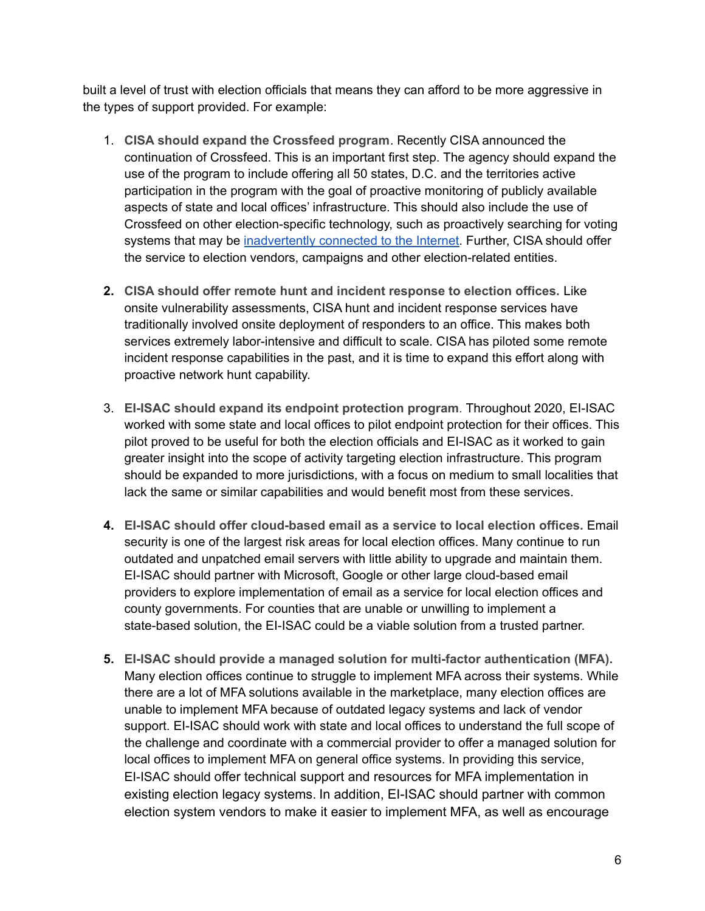built a level of trust with election officials that means they can afford to be more aggressive in the types of support provided. For example:

- 1. **CISA should expand the Crossfeed program**. Recently CISA announced the continuation of Crossfeed. This is an important first step. The agency should expand the use of the program to include offering all 50 states, D.C. and the territories active participation in the program with the goal of proactive monitoring of publicly available aspects of state and local offices' infrastructure. This should also include the use of Crossfeed on other election-specific technology, such as proactively searching for voting systems that may be [inadvertently](https://www.vice.com/en/article/3kxzk9/exclusive-critical-us-election-systems-have-been-left-exposed-online-despite-official-denials) connected to the Internet. Further, CISA should offer the service to election vendors, campaigns and other election-related entities.
- **2. CISA should offer remote hunt and incident response to election offices.** Like onsite vulnerability assessments, CISA hunt and incident response services have traditionally involved onsite deployment of responders to an office. This makes both services extremely labor-intensive and difficult to scale. CISA has piloted some remote incident response capabilities in the past, and it is time to expand this effort along with proactive network hunt capability.
- 3. **EI-ISAC should expand its endpoint protection program**. Throughout 2020, EI-ISAC worked with some state and local offices to pilot endpoint protection for their offices. This pilot proved to be useful for both the election officials and EI-ISAC as it worked to gain greater insight into the scope of activity targeting election infrastructure. This program should be expanded to more jurisdictions, with a focus on medium to small localities that lack the same or similar capabilities and would benefit most from these services.
- **4. EI-ISAC should offer cloud-based email as a service to local election offices.** Email security is one of the largest risk areas for local election offices. Many continue to run outdated and unpatched email servers with little ability to upgrade and maintain them. EI-ISAC should partner with Microsoft, Google or other large cloud-based email providers to explore implementation of email as a service for local election offices and county governments. For counties that are unable or unwilling to implement a state-based solution, the EI-ISAC could be a viable solution from a trusted partner.
- **5. EI-ISAC should provide a managed solution for multi-factor authentication (MFA).** Many election offices continue to struggle to implement MFA across their systems. While there are a lot of MFA solutions available in the marketplace, many election offices are unable to implement MFA because of outdated legacy systems and lack of vendor support. EI-ISAC should work with state and local offices to understand the full scope of the challenge and coordinate with a commercial provider to offer a managed solution for local offices to implement MFA on general office systems. In providing this service, EI-ISAC should offer technical support and resources for MFA implementation in existing election legacy systems. In addition, EI-ISAC should partner with common election system vendors to make it easier to implement MFA, as well as encourage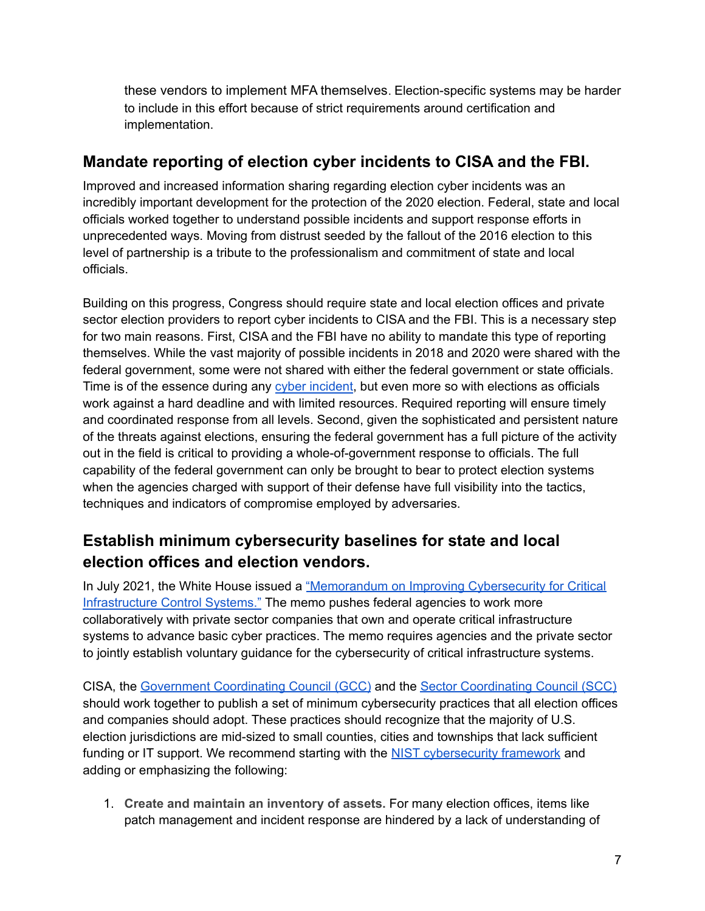these vendors to implement MFA themselves. Election-specific systems may be harder to include in this effort because of strict requirements around certification and implementation.

### **Mandate reporting of election cyber incidents to CISA and the FBI.**

Improved and increased information sharing regarding election cyber incidents was an incredibly important development for the protection of the 2020 election. Federal, state and local officials worked together to understand possible incidents and support response efforts in unprecedented ways. Moving from distrust seeded by the fallout of the 2016 election to this level of partnership is a tribute to the professionalism and commitment of state and local officials.

Building on this progress, Congress should require state and local election offices and private sector election providers to report cyber incidents to CISA and the FBI. This is a necessary step for two main reasons. First, CISA and the FBI have no ability to mandate this type of reporting themselves. While the vast majority of possible incidents in 2018 and 2020 were shared with the federal government, some were not shared with either the federal government or state officials. Time is of the essence during any cyber [incident,](https://csrc.nist.gov/glossary/term/cyber_incident) but even more so with elections as officials work against a hard deadline and with limited resources. Required reporting will ensure timely and coordinated response from all levels. Second, given the sophisticated and persistent nature of the threats against elections, ensuring the federal government has a full picture of the activity out in the field is critical to providing a whole-of-government response to officials. The full capability of the federal government can only be brought to bear to protect election systems when the agencies charged with support of their defense have full visibility into the tactics, techniques and indicators of compromise employed by adversaries.

# **Establish minimum cybersecurity baselines for state and local election offices and election vendors.**

In July 2021, the White House issued a ["Memorandum](https://www.whitehouse.gov/briefing-room/statements-releases/2021/07/28/national-security-memorandum-on-improving-cybersecurity-for-critical-infrastructure-control-systems/) on Improving Cybersecurity for Critical [Infrastructure](https://www.whitehouse.gov/briefing-room/statements-releases/2021/07/28/national-security-memorandum-on-improving-cybersecurity-for-critical-infrastructure-control-systems/) Control Systems." The memo pushes federal agencies to work more collaboratively with private sector companies that own and operate critical infrastructure systems to advance basic cyber practices. The memo requires agencies and the private sector to jointly establish voluntary guidance for the cybersecurity of critical infrastructure systems.

CISA, the Government [Coordinating](https://www.cisa.gov/government-facilities-election-infrastructure-charters-and-membership) Council (GCC) and the Sector [Coordinating](https://www.cisa.gov/government-facilities-election-infrastructure-charters-and-membership) Council (SCC) should work together to publish a set of minimum cybersecurity practices that all election offices and companies should adopt. These practices should recognize that the majority of U.S. election jurisdictions are mid-sized to small counties, cities and townships that lack sufficient funding or IT support. We recommend starting with the NIST [cybersecurity](https://csrc.nist.gov/Projects/cybersecurity-framework/nist-cybersecurity-framework-a-quick-start-guide) framework and adding or emphasizing the following:

1. **Create and maintain an inventory of assets.** For many election offices, items like patch management and incident response are hindered by a lack of understanding of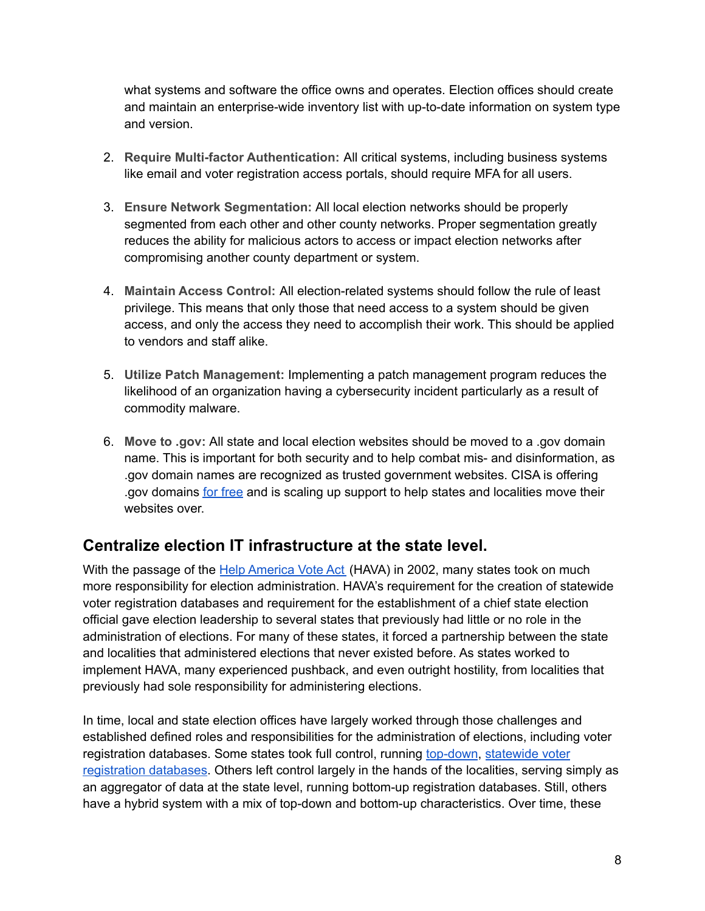what systems and software the office owns and operates. Election offices should create and maintain an enterprise-wide inventory list with up-to-date information on system type and version.

- 2. **Require Multi-factor Authentication:** All critical systems, including business systems like email and voter registration access portals, should require MFA for all users.
- 3. **Ensure Network Segmentation:** All local election networks should be properly segmented from each other and other county networks. Proper segmentation greatly reduces the ability for malicious actors to access or impact election networks after compromising another county department or system.
- 4. **Maintain Access Control:** All election-related systems should follow the rule of least privilege. This means that only those that need access to a system should be given access, and only the access they need to accomplish their work. This should be applied to vendors and staff alike.
- 5. **Utilize Patch Management:** Implementing a patch management program reduces the likelihood of an organization having a cybersecurity incident particularly as a result of commodity malware.
- 6. **Move to .gov:** All state and local election websites should be moved to a .gov domain name. This is important for both security and to help combat mis- and disinformation, as .gov domain names are recognized as trusted government websites. CISA is offering .gov domains for [free](https://home.dotgov.gov/about/elections/) and is scaling up support to help states and localities move their websites over.

# **Centralize election IT infrastructure at the state level.**

With the passage of the Help [America](https://www.eac.gov/about_the_eac/help_america_vote_act.aspx) Vote Act (HAVA) in 2002, many states took on much more responsibility for election administration. HAVA's requirement for the creation of statewide voter registration databases and requirement for the establishment of a chief state election official gave election leadership to several states that previously had little or no role in the administration of elections. For many of these states, it forced a partnership between the state and localities that administered elections that never existed before. As states worked to implement HAVA, many experienced pushback, and even outright hostility, from localities that previously had sole responsibility for administering elections.

In time, local and state election offices have largely worked through those challenges and established defined roles and responsibilities for the administration of elections, including voter registration databases. Some states took full control, running [top-down](https://www.eac.gov/statewide-voter-registration-systems), [statewide](https://www.eac.gov/statewide-voter-registration-systems) voter [registration](https://www.eac.gov/statewide-voter-registration-systems) databases. Others left control largely in the hands of the localities, serving simply as an aggregator of data at the state level, running bottom-up registration databases. Still, others have a hybrid system with a mix of top-down and bottom-up characteristics. Over time, these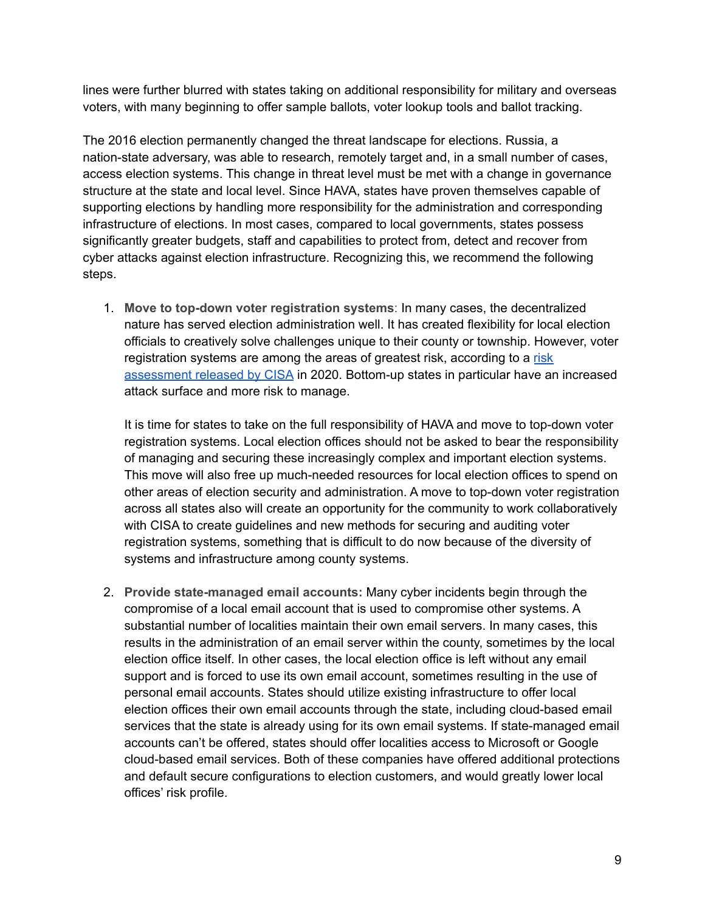lines were further blurred with states taking on additional responsibility for military and overseas voters, with many beginning to offer sample ballots, voter lookup tools and ballot tracking.

The 2016 election permanently changed the threat landscape for elections. Russia, a nation-state adversary, was able to research, remotely target and, in a small number of cases, access election systems. This change in threat level must be met with a change in governance structure at the state and local level. Since HAVA, states have proven themselves capable of supporting elections by handling more responsibility for the administration and corresponding infrastructure of elections. In most cases, compared to local governments, states possess significantly greater budgets, staff and capabilities to protect from, detect and recover from cyber attacks against election infrastructure. Recognizing this, we recommend the following steps.

1. **Move to top-down voter registration systems**: In many cases, the decentralized nature has served election administration well. It has created flexibility for local election officials to creatively solve challenges unique to their county or township. However, voter registration systems are among the areas of greatest [risk](https://www.cisa.gov/sites/default/files/publications/cisa-election-infrastructure-cyber-risk-assessment_508.pdf), according to a risk [assessment](https://www.cisa.gov/sites/default/files/publications/cisa-election-infrastructure-cyber-risk-assessment_508.pdf) released by CISA in 2020. Bottom-up states in particular have an increased attack surface and more risk to manage.

It is time for states to take on the full responsibility of HAVA and move to top-down voter registration systems. Local election offices should not be asked to bear the responsibility of managing and securing these increasingly complex and important election systems. This move will also free up much-needed resources for local election offices to spend on other areas of election security and administration. A move to top-down voter registration across all states also will create an opportunity for the community to work collaboratively with CISA to create guidelines and new methods for securing and auditing voter registration systems, something that is difficult to do now because of the diversity of systems and infrastructure among county systems.

2. **Provide state-managed email accounts:** Many cyber incidents begin through the compromise of a local email account that is used to compromise other systems. A substantial number of localities maintain their own email servers. In many cases, this results in the administration of an email server within the county, sometimes by the local election office itself. In other cases, the local election office is left without any email support and is forced to use its own email account, sometimes resulting in the use of personal email accounts. States should utilize existing infrastructure to offer local election offices their own email accounts through the state, including cloud-based email services that the state is already using for its own email systems. If state-managed email accounts can't be offered, states should offer localities access to Microsoft or Google cloud-based email services. Both of these companies have offered additional protections and default secure configurations to election customers, and would greatly lower local offices' risk profile.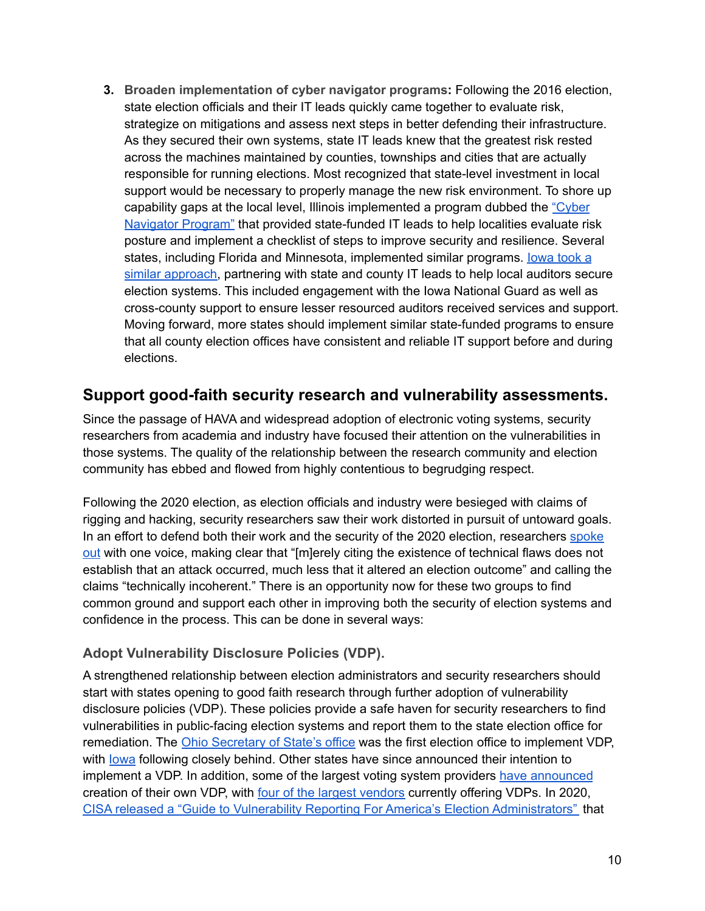**3. Broaden implementation of cyber navigator programs:** Following the 2016 election, state election officials and their IT leads quickly came together to evaluate risk, strategize on mitigations and assess next steps in better defending their infrastructure. As they secured their own systems, state IT leads knew that the greatest risk rested across the machines maintained by counties, townships and cities that are actually responsible for running elections. Most recognized that state-level investment in local support would be necessary to properly manage the new risk environment. To shore up capability gaps at the local level, Illinois implemented a program dubbed the ["Cyber](https://gcn.com/articles/2021/08/25/election-cyber-navigators.aspx) [Navigator](https://gcn.com/articles/2021/08/25/election-cyber-navigators.aspx) Program" that provided state-funded IT leads to help localities evaluate risk posture and implement a checklist of steps to improve security and resilience. Several states, including Florida and Minnesota, implemented similar programs. lowa took a similar [approach,](https://sos.iowa.gov/news/2019_08_08.html) partnering with state and county IT leads to help local auditors secure election systems. This included engagement with the Iowa National Guard as well as cross-county support to ensure lesser resourced auditors received services and support. Moving forward, more states should implement similar state-funded programs to ensure that all county election offices have consistent and reliable IT support before and during elections.

### **Support good-faith security research and vulnerability assessments.**

Since the passage of HAVA and widespread adoption of electronic voting systems, security researchers from academia and industry have focused their attention on the vulnerabilities in those systems. The quality of the relationship between the research community and election community has ebbed and flowed from highly contentious to begrudging respect.

Following the 2020 election, as election officials and industry were besieged with claims of rigging and hacking, security researchers saw their work distorted in pursuit of untoward goals. In an effort to defend both their work and the security of the 2020 election, researchers [spoke](https://www.cyberscoop.com/election-security-experts-trump-voter-fraud-baseless/) [out](https://www.cyberscoop.com/election-security-experts-trump-voter-fraud-baseless/) with one voice, making clear that "[m]erely citing the existence of technical flaws does not establish that an attack occurred, much less that it altered an election outcome" and calling the claims "technically incoherent." There is an opportunity now for these two groups to find common ground and support each other in improving both the security of election systems and confidence in the process. This can be done in several ways:

#### **Adopt Vulnerability Disclosure Policies (VDP).**

A strengthened relationship between election administrators and security researchers should start with states opening to good faith research through further adoption of vulnerability disclosure policies (VDP). These policies provide a safe haven for security researchers to find vulnerabilities in public-facing election systems and report them to the state election office for remediation. The Ohio [Secretary](https://www.ohiosos.gov/vulnerability-disclosure-policy/) of State's office was the first election office to implement VDP, with [Iowa](https://sos.iowa.gov/vulnerabilitydisclosureprogram.html) following closely behind. Other states have since announced their intention to implement a VDP. In addition, some of the largest voting system providers have [announced](https://www.cyberscoop.com/ess-election-security-vulnerability-disclosure-black-hat/) creation of their own VDP, with four of the largest [vendors](https://www.it-isac.org/ei-sig) currently offering VDPs. In 2020, CISA released a "Guide to Vulnerability Reporting For America's Election [Administrators"](https://www.cisa.gov/sites/default/files/publications/guide-vulnerability-reporting-americas-election-admins_508.pdf) that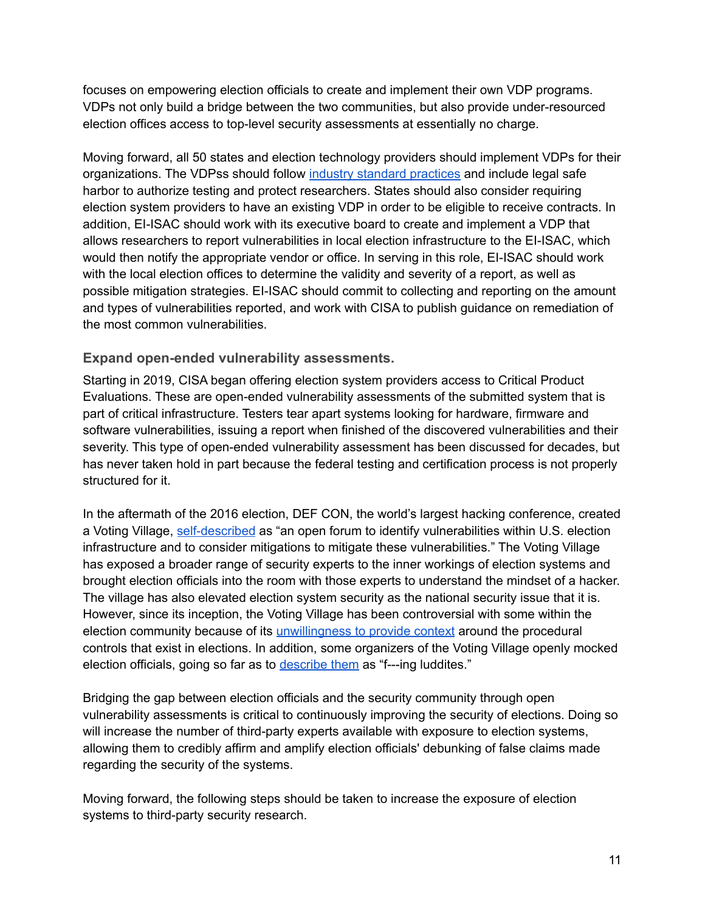focuses on empowering election officials to create and implement their own VDP programs. VDPs not only build a bridge between the two communities, but also provide under-resourced election offices access to top-level security assessments at essentially no charge.

Moving forward, all 50 states and election technology providers should implement VDPs for their organizations. The VDPss should follow industry standard [practices](https://github.com/disclose/dioterms/blob/master/core-terms-vdp.md) and include legal safe harbor to authorize testing and protect researchers. States should also consider requiring election system providers to have an existing VDP in order to be eligible to receive contracts. In addition, EI-ISAC should work with its executive board to create and implement a VDP that allows researchers to report vulnerabilities in local election infrastructure to the EI-ISAC, which would then notify the appropriate vendor or office. In serving in this role, EI-ISAC should work with the local election offices to determine the validity and severity of a report, as well as possible mitigation strategies. EI-ISAC should commit to collecting and reporting on the amount and types of vulnerabilities reported, and work with CISA to publish guidance on remediation of the most common vulnerabilities.

#### **Expand open-ended vulnerability assessments.**

Starting in 2019, CISA began offering election system providers access to Critical Product Evaluations. These are open-ended vulnerability assessments of the submitted system that is part of critical infrastructure. Testers tear apart systems looking for hardware, firmware and software vulnerabilities, issuing a report when finished of the discovered vulnerabilities and their severity. This type of open-ended vulnerability assessment has been discussed for decades, but has never taken hold in part because the federal testing and certification process is not properly structured for it.

In the aftermath of the 2016 election, DEF CON, the world's largest hacking conference, created a Voting Village, [self-described](https://media.defcon.org/DEF%20CON%2027/voting-village-report-defcon27.pdf) as "an open forum to identify vulnerabilities within U.S. election infrastructure and to consider mitigations to mitigate these vulnerabilities." The Voting Village has exposed a broader range of security experts to the inner workings of election systems and brought election officials into the room with those experts to understand the mindset of a hacker. The village has also elevated election system security as the national security issue that it is. However, since its inception, the Voting Village has been controversial with some within the election community because of its [unwillingness](https://www.nass.org/node/1511) to provide context around the procedural controls that exist in elections. In addition, some organizers of the Voting Village openly mocked election officials, going so far as to [describe](https://www.cyberscoop.com/def-con-voting-village-2018/) them as "f---ing luddites."

Bridging the gap between election officials and the security community through open vulnerability assessments is critical to continuously improving the security of elections. Doing so will increase the number of third-party experts available with exposure to election systems, allowing them to credibly affirm and amplify election officials' debunking of false claims made regarding the security of the systems.

Moving forward, the following steps should be taken to increase the exposure of election systems to third-party security research.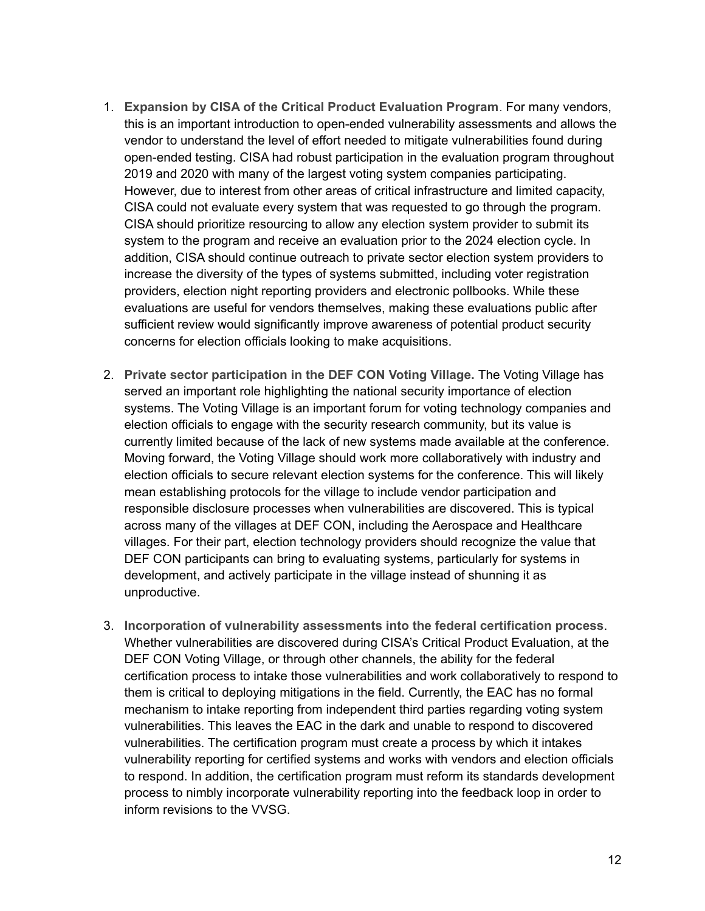- 1. **Expansion by CISA of the Critical Product Evaluation Program**. For many vendors, this is an important introduction to open-ended vulnerability assessments and allows the vendor to understand the level of effort needed to mitigate vulnerabilities found during open-ended testing. CISA had robust participation in the evaluation program throughout 2019 and 2020 with many of the largest voting system companies participating. However, due to interest from other areas of critical infrastructure and limited capacity, CISA could not evaluate every system that was requested to go through the program. CISA should prioritize resourcing to allow any election system provider to submit its system to the program and receive an evaluation prior to the 2024 election cycle. In addition, CISA should continue outreach to private sector election system providers to increase the diversity of the types of systems submitted, including voter registration providers, election night reporting providers and electronic pollbooks. While these evaluations are useful for vendors themselves, making these evaluations public after sufficient review would significantly improve awareness of potential product security concerns for election officials looking to make acquisitions.
- 2. **Private sector participation in the DEF CON Voting Village.** The Voting Village has served an important role highlighting the national security importance of election systems. The Voting Village is an important forum for voting technology companies and election officials to engage with the security research community, but its value is currently limited because of the lack of new systems made available at the conference. Moving forward, the Voting Village should work more collaboratively with industry and election officials to secure relevant election systems for the conference. This will likely mean establishing protocols for the village to include vendor participation and responsible disclosure processes when vulnerabilities are discovered. This is typical across many of the villages at DEF CON, including the Aerospace and Healthcare villages. For their part, election technology providers should recognize the value that DEF CON participants can bring to evaluating systems, particularly for systems in development, and actively participate in the village instead of shunning it as unproductive.
- 3. **Incorporation of vulnerability assessments into the federal certification process**. Whether vulnerabilities are discovered during CISA's Critical Product Evaluation, at the DEF CON Voting Village, or through other channels, the ability for the federal certification process to intake those vulnerabilities and work collaboratively to respond to them is critical to deploying mitigations in the field. Currently, the EAC has no formal mechanism to intake reporting from independent third parties regarding voting system vulnerabilities. This leaves the EAC in the dark and unable to respond to discovered vulnerabilities. The certification program must create a process by which it intakes vulnerability reporting for certified systems and works with vendors and election officials to respond. In addition, the certification program must reform its standards development process to nimbly incorporate vulnerability reporting into the feedback loop in order to inform revisions to the VVSG.